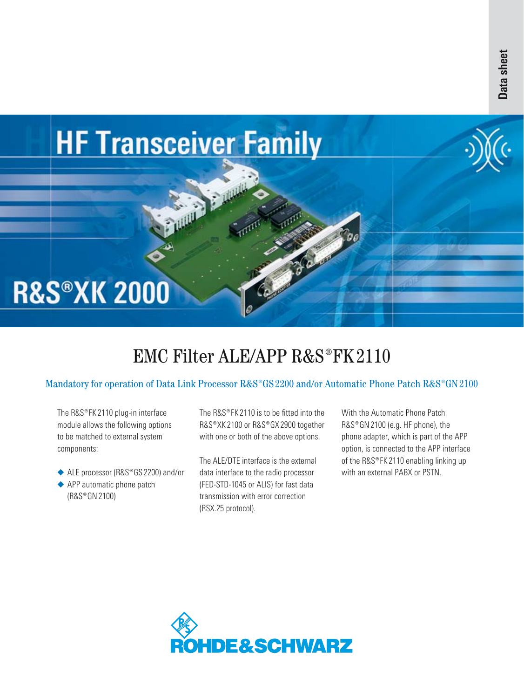

# EMC Filter ALE/APP  $R&S^{\circ}FK2110$

## Mandatory for operation of Data Link Processor R&S®GS 2200 and/or Automatic Phone Patch R&S®GN 2100

The R&S®FK 2110 plug-in interface module allows the following options to be matched to external system components:

- ◆ ALE processor (R&S®GS 2200) and/or
- ◆ APP automatic phone patch (R&S®GN 2100)

The  $RAS^{\circledcirc}$  FK 2110 is to be fitted into the R&S®XK 2100 or R&S®GX 2900 together with one or both of the above options.

The ALE/DTE interface is the externaldata interface to the radio processor-(FED-STD-1045 or ALIS) for fast data transmission with error correction (RSX.25 protocol).

With the Automatic Phone Patch R&S®GN 2100 (e.g. HF phone), the phone adapter, which is part of the APP option, is connected to the APP interface of the R&S®FK 2110 enabling linking up with an external PABX or PSTN.